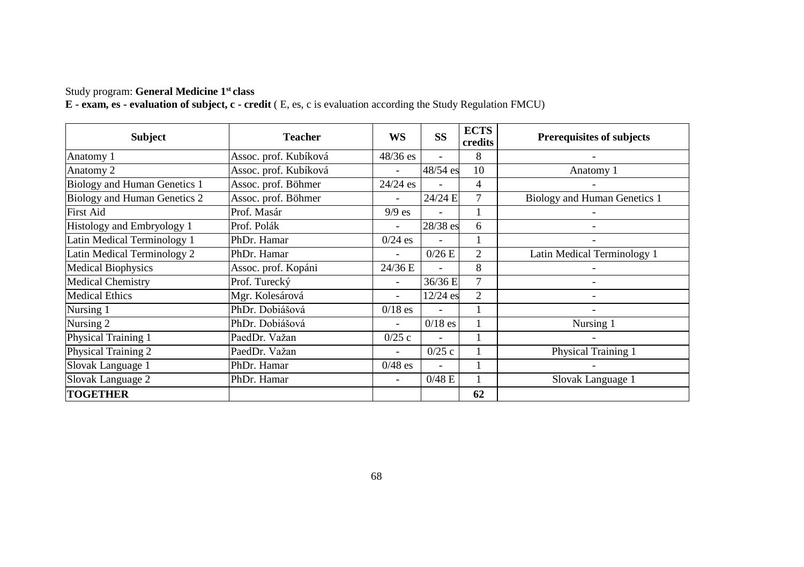### Study program: **General Medicine 1st class**

| <b>Subject</b>               | <b>Teacher</b>        | <b>WS</b>                | SS        | <b>ECTS</b><br>credits | <b>Prerequisites of subjects</b> |
|------------------------------|-----------------------|--------------------------|-----------|------------------------|----------------------------------|
| Anatomy 1                    | Assoc. prof. Kubíková | $48/36$ es               | ٠         | 8                      |                                  |
| Anatomy 2                    | Assoc. prof. Kubíková |                          | 48/54 es  | 10                     | Anatomy 1                        |
| Biology and Human Genetics 1 | Assoc. prof. Böhmer   | $24/24$ es               |           | 4                      |                                  |
| Biology and Human Genetics 2 | Assoc. prof. Böhmer   | ٠                        | 24/24 E   | $\tau$                 | Biology and Human Genetics 1     |
| <b>First Aid</b>             | Prof. Masár           | $9/9$ es                 |           |                        |                                  |
| Histology and Embryology 1   | Prof. Polák           | ÷                        | 28/38 es  | 6                      |                                  |
| Latin Medical Terminology 1  | PhDr. Hamar           | $0/24$ es                |           |                        |                                  |
| Latin Medical Terminology 2  | PhDr. Hamar           |                          | 0/26E     | 2                      | Latin Medical Terminology 1      |
| <b>Medical Biophysics</b>    | Assoc. prof. Kopáni   | 24/36 E                  |           | 8                      |                                  |
| <b>Medical Chemistry</b>     | Prof. Turecký         | ۰                        | 36/36 E   | 7                      |                                  |
| <b>Medical Ethics</b>        | Mgr. Kolesárová       | ٠                        | 12/24 es  | $\overline{c}$         | ۰                                |
| Nursing 1                    | PhDr. Dobiášová       | $0/18$ es                |           |                        | ٠                                |
| Nursing 2                    | PhDr. Dobiášová       | ٠                        | $0/18$ es |                        | Nursing 1                        |
| Physical Training 1          | PaedDr. Važan         | 0/25c                    |           |                        |                                  |
| Physical Training 2          | PaedDr. Važan         |                          | 0/25c     |                        | Physical Training 1              |
| Slovak Language 1            | PhDr. Hamar           | $0/48$ es                |           |                        |                                  |
| Slovak Language 2            | PhDr. Hamar           | $\overline{\phantom{0}}$ | 0/48 E    |                        | Slovak Language 1                |
| <b>TOGETHER</b>              |                       |                          |           | 62                     |                                  |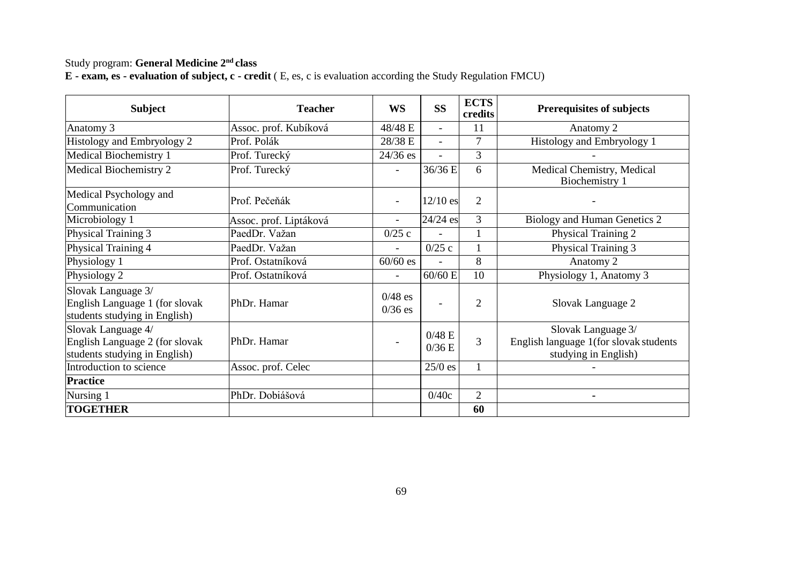### Study program: **General Medicine 2nd class**

| $E$ - exam, es - evaluation of subject, c - credit (E, es, c is evaluation according the Study Regulation FMCU) |
|-----------------------------------------------------------------------------------------------------------------|

| <b>Subject</b>                                                                        | <b>Teacher</b>         | WS                       | <b>SS</b>      | <b>ECTS</b><br>credits | <b>Prerequisites of subjects</b>                                                     |
|---------------------------------------------------------------------------------------|------------------------|--------------------------|----------------|------------------------|--------------------------------------------------------------------------------------|
| Anatomy 3                                                                             | Assoc. prof. Kubíková  | 48/48 E                  |                | 11                     | Anatomy 2                                                                            |
| Histology and Embryology 2                                                            | Prof. Polák            | 28/38 E                  |                | $\overline{7}$         | Histology and Embryology 1                                                           |
| Medical Biochemistry 1                                                                | Prof. Turecký          | $24/36$ es               | $\overline{a}$ | 3                      |                                                                                      |
| Medical Biochemistry 2                                                                | Prof. Turecký          | ٠                        | 36/36 E        | 6                      | Medical Chemistry, Medical<br>Biochemistry 1                                         |
| Medical Psychology and<br>Communication                                               | Prof. Pečeňák          |                          | $12/10$ es     | $\mathfrak{D}$         |                                                                                      |
| Microbiology 1                                                                        | Assoc. prof. Liptáková | ٠                        | 24/24 es       | 3                      | Biology and Human Genetics 2                                                         |
| Physical Training 3                                                                   | PaedDr. Važan          | 0/25c                    | ٠              |                        | Physical Training 2                                                                  |
| Physical Training 4                                                                   | PaedDr. Važan          | $\overline{a}$           | 0/25c          |                        | Physical Training 3                                                                  |
| Physiology 1                                                                          | Prof. Ostatníková      | $60/60$ es               | ۰              | 8                      | Anatomy 2                                                                            |
| Physiology 2                                                                          | Prof. Ostatníková      | $\overline{\phantom{a}}$ | $60/60$ E      | 10                     | Physiology 1, Anatomy 3                                                              |
| Slovak Language 3/<br>English Language 1 (for slovak<br>students studying in English) | PhDr. Hamar            | $0/48$ es<br>$0/36$ es   |                | $\overline{c}$         | Slovak Language 2                                                                    |
| Slovak Language 4/<br>English Language 2 (for slovak<br>students studying in English) | PhDr. Hamar            |                          | 0/48E<br>0/36E | 3                      | Slovak Language 3/<br>English language 1(for slovak students<br>studying in English) |
| Introduction to science                                                               | Assoc. prof. Celec     |                          | $25/0$ es      | 1                      |                                                                                      |
| <b>Practice</b>                                                                       |                        |                          |                |                        |                                                                                      |
| Nursing 1                                                                             | PhDr. Dobiášová        |                          | 0/40c          | $\overline{2}$         | $\blacksquare$                                                                       |
| <b>TOGETHER</b>                                                                       |                        |                          |                | 60                     |                                                                                      |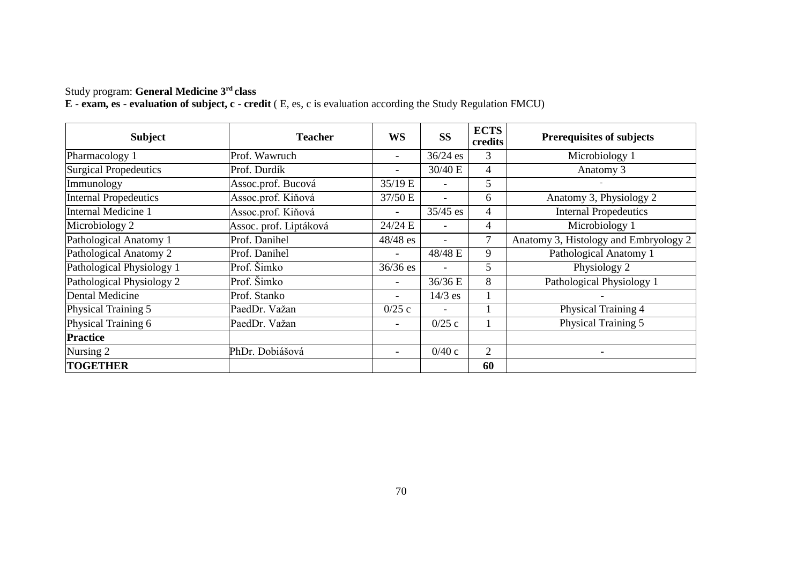#### Study program: **General Medicine 3rd class**

| <b>Subject</b>               | <b>Teacher</b>         | <b>WS</b>  | <b>SS</b>  | <b>ECTS</b><br>credits | <b>Prerequisites of subjects</b>      |
|------------------------------|------------------------|------------|------------|------------------------|---------------------------------------|
| Pharmacology 1               | Prof. Wawruch          | ۰.         | $36/24$ es | 3                      | Microbiology 1                        |
| <b>Surgical Propedeutics</b> | Prof. Durdík           | ۰          | 30/40 E    | $\overline{4}$         | Anatomy 3                             |
| Immunology                   | Assoc.prof. Bucová     | 35/19 E    | ٠          | 5                      |                                       |
| <b>Internal Propedeutics</b> | Assoc.prof. Kiňová     | 37/50 E    | ٠          | 6                      | Anatomy 3, Physiology 2               |
| Internal Medicine 1          | Assoc.prof. Kiňová     | Ξ.         | $35/45$ es | $\overline{4}$         | <b>Internal Propedeutics</b>          |
| Microbiology 2               | Assoc. prof. Liptáková | 24/24 E    |            | $\overline{4}$         | Microbiology 1                        |
| Pathological Anatomy 1       | Prof. Danihel          | $48/48$ es |            | $\tau$                 | Anatomy 3, Histology and Embryology 2 |
| Pathological Anatomy 2       | Prof. Danihel          | ۰          | 48/48 E    | 9                      | Pathological Anatomy 1                |
| Pathological Physiology 1    | Prof. Šimko            | $36/36$ es |            | 5                      | Physiology 2                          |
| Pathological Physiology 2    | Prof. Šimko            | ۰          | 36/36 E    | 8                      | Pathological Physiology 1             |
| Dental Medicine              | Prof. Stanko           | ۰          | $14/3$ es  |                        |                                       |
| Physical Training 5          | PaedDr. Važan          | 0/25c      | ٠          |                        | Physical Training 4                   |
| Physical Training 6          | PaedDr. Važan          | Ξ.         | 0/25c      |                        | Physical Training 5                   |
| <b>Practice</b>              |                        |            |            |                        |                                       |
| Nursing 2                    | PhDr. Dobiášová        | ۰.         | 0/40c      | 2                      |                                       |
| <b>TOGETHER</b>              |                        |            |            | 60                     |                                       |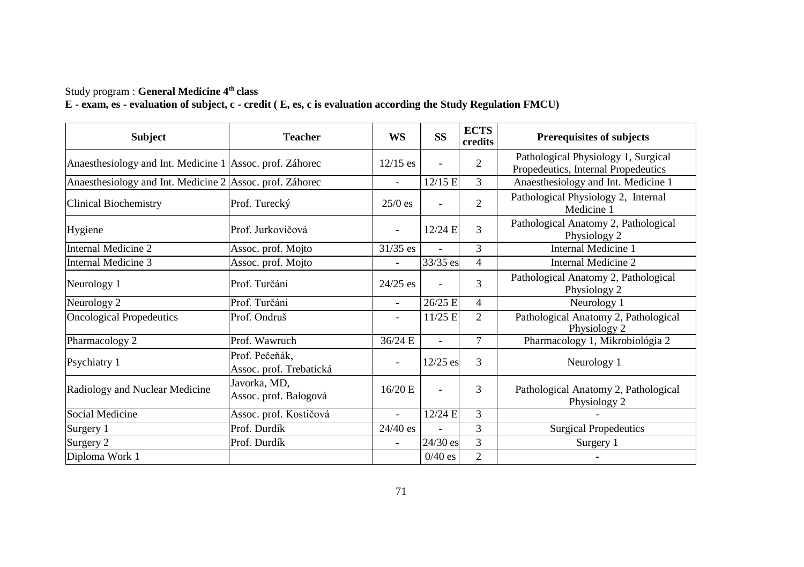#### Study program : **General Medicine 4th class**

| <b>Subject</b>                                           | <b>Teacher</b>                            | WS                       | <b>SS</b>  | <b>ECTS</b><br>credits | <b>Prerequisites of subjects</b>                                           |
|----------------------------------------------------------|-------------------------------------------|--------------------------|------------|------------------------|----------------------------------------------------------------------------|
| Anaesthesiology and Int. Medicine 1 Assoc. prof. Záhorec |                                           | $12/15$ es               |            | $\overline{c}$         | Pathological Physiology 1, Surgical<br>Propedeutics, Internal Propedeutics |
| Anaesthesiology and Int. Medicine 2 Assoc. prof. Záhorec |                                           | ٠                        | 12/15 E    | 3                      | Anaesthesiology and Int. Medicine 1                                        |
| <b>Clinical Biochemistry</b>                             | Prof. Turecký                             | $25/0$ es                |            | $\overline{c}$         | Pathological Physiology 2, Internal<br>Medicine 1                          |
| Hygiene                                                  | Prof. Jurkovičová                         | $\overline{\phantom{a}}$ | $12/24$ E  | $\mathbf{3}$           | Pathological Anatomy 2, Pathological<br>Physiology 2                       |
| Internal Medicine 2                                      | Assoc. prof. Mojto                        | $31/35$ es               |            | 3                      | Internal Medicine 1                                                        |
| Internal Medicine 3                                      | Assoc. prof. Mojto                        | ٠                        | 33/35 es   | 4                      | Internal Medicine 2                                                        |
| Neurology 1                                              | Prof. Turčáni                             | $24/25$ es               |            | 3                      | Pathological Anatomy 2, Pathological<br>Physiology 2                       |
| Neurology 2                                              | Prof. Turčáni                             | $\overline{\phantom{a}}$ | 26/25 E    | 4                      | Neurology 1                                                                |
| <b>Oncological Propedeutics</b>                          | Prof. Ondruš                              | ٠                        | $11/25$ E  | $\mathfrak{D}$         | Pathological Anatomy 2, Pathological<br>Physiology 2                       |
| Pharmacology 2                                           | Prof. Wawruch                             | 36/24 E                  | ÷          | 7                      | Pharmacology 1, Mikrobiológia 2                                            |
| Psychiatry 1                                             | Prof. Pečeňák,<br>Assoc. prof. Trebatická | ٠                        | $12/25$ es | 3                      | Neurology 1                                                                |
| Radiology and Nuclear Medicine                           | Javorka, MD,<br>Assoc. prof. Balogová     | 16/20 E                  | ٠          | 3                      | Pathological Anatomy 2, Pathological<br>Physiology 2                       |
| Social Medicine                                          | Assoc. prof. Kostičová                    | ä,                       | 12/24 E    | $\mathbf{3}$           |                                                                            |
| Surgery 1                                                | Prof. Durdík                              | $24/40$ es               |            | 3                      | <b>Surgical Propedeutics</b>                                               |
| Surgery 2                                                | Prof. Durdík                              | ٠                        | 24/30 es   | 3                      | Surgery 1                                                                  |
| Diploma Work 1                                           |                                           |                          | $0/40$ es  | $\overline{c}$         |                                                                            |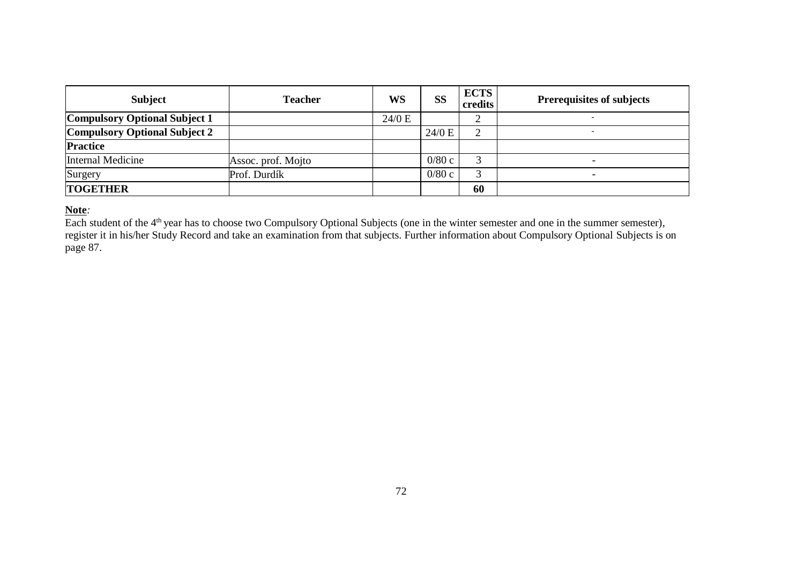| <b>Subject</b>                       | <b>Teacher</b>     | WS     | SS     | <b>ECTS</b><br>credits | <b>Prerequisites of subjects</b> |
|--------------------------------------|--------------------|--------|--------|------------------------|----------------------------------|
| <b>Compulsory Optional Subject 1</b> |                    | 24/0 E |        |                        |                                  |
| <b>Compulsory Optional Subject 2</b> |                    |        | 24/0 E | ◠                      |                                  |
| <b>Practice</b>                      |                    |        |        |                        |                                  |
| Internal Medicine                    | Assoc. prof. Mojto |        | 0/80c  |                        |                                  |
| Surgery                              | Prof. Durdík       |        | 0/80c  | ⌒                      | $\overline{\phantom{a}}$         |
| <b>TOGETHER</b>                      |                    |        |        | 60                     |                                  |

### **Note***:*

Each student of the 4<sup>th</sup> year has to choose two Compulsory Optional Subjects (one in the winter semester and one in the summer semester), register it in his/her Study Record and take an examination from that subjects. Further information about Compulsory Optional Subjects is on page 87.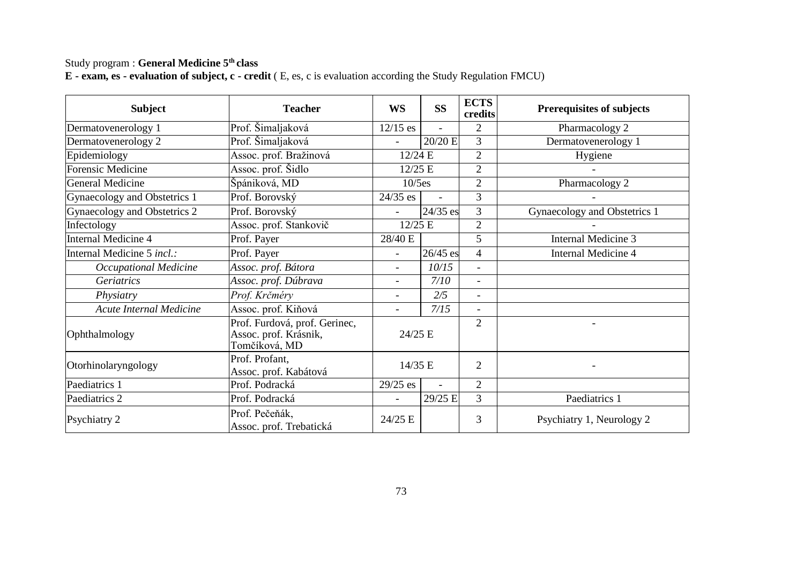# Study program : **General Medicine 5th class**

|  | <b>E</b> - exam, es - evaluation of subject, c - credit (E, es, c is evaluation according the Study Regulation FMCU) |
|--|----------------------------------------------------------------------------------------------------------------------|
|--|----------------------------------------------------------------------------------------------------------------------|

| <b>Subject</b>               | <b>Teacher</b>                                                          | WS             | <b>SS</b> | <b>ECTS</b><br>credits   | <b>Prerequisites of subjects</b> |
|------------------------------|-------------------------------------------------------------------------|----------------|-----------|--------------------------|----------------------------------|
| Dermatovenerology 1          | Prof. Šimaljaková                                                       | $12/15$ es     |           | 2                        | Pharmacology 2                   |
| Dermatovenerology 2          | Prof. Šimaljaková                                                       |                | 20/20 E   | 3                        | Dermatovenerology 1              |
| Epidemiology                 | Assoc. prof. Bražinová                                                  | 12/24 E        |           | $\overline{c}$           | Hygiene                          |
| Forensic Medicine            | Assoc. prof. Šidlo                                                      | $12/25$ E      |           | $\overline{2}$           |                                  |
| <b>General Medicine</b>      | Špániková, MD                                                           | $10/5$ es      |           | $\overline{2}$           | Pharmacology 2                   |
| Gynaecology and Obstetrics 1 | Prof. Borovský                                                          | $24/35$ es     |           | 3                        |                                  |
| Gynaecology and Obstetrics 2 | Prof. Borovský                                                          |                | 24/35 es  | 3                        | Gynaecology and Obstetrics 1     |
| Infectology                  | Assoc. prof. Stankovič                                                  | 12/25 E        |           | $\overline{c}$           |                                  |
| Internal Medicine 4          | Prof. Payer                                                             | 28/40 E        |           | 5                        | Internal Medicine 3              |
| Internal Medicine 5 incl.:   | Prof. Payer                                                             | ٠              | 26/45 es  | $\overline{4}$           | Internal Medicine 4              |
| Occupational Medicine        | Assoc. prof. Bátora                                                     | ٠              | 10/15     | $\overline{\phantom{a}}$ |                                  |
| Geriatrics                   | Assoc. prof. Dúbrava                                                    | $\overline{a}$ | 7/10      | $\overline{\phantom{a}}$ |                                  |
| Physiatry                    | Prof. Krčméry                                                           | $\overline{a}$ | 2/5       | $\overline{\phantom{a}}$ |                                  |
| Acute Internal Medicine      | Assoc. prof. Kiňová                                                     | ٠              | 7/15      | $\overline{\phantom{a}}$ |                                  |
| Ophthalmology                | Prof. Furdová, prof. Gerinec,<br>Assoc. prof. Krásnik,<br>Tomčíková, MD | 24/25 E        |           | 2                        |                                  |
| Otorhinolaryngology          | Prof. Profant.<br>Assoc. prof. Kabátová                                 | 14/35 E        |           | $\overline{2}$           |                                  |
| Paediatrics 1                | Prof. Podracká                                                          | $29/25$ es     |           | $\overline{2}$           |                                  |
| Paediatrics 2                | Prof. Podracká                                                          | ٠              | 29/25 E   | 3                        | Paediatrics 1                    |
| Psychiatry 2                 | Prof. Pečeňák,<br>Assoc. prof. Trebatická                               | 24/25 E        |           | 3                        | Psychiatry 1, Neurology 2        |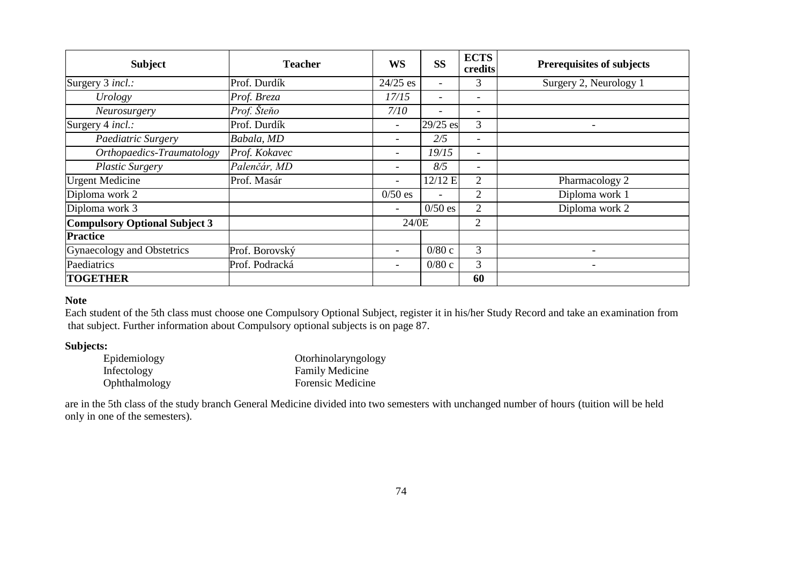| <b>Subject</b>                       | <b>Teacher</b> | WS                       | <b>SS</b>                | <b>ECTS</b><br>credits   | <b>Prerequisites of subjects</b> |
|--------------------------------------|----------------|--------------------------|--------------------------|--------------------------|----------------------------------|
| Surgery 3 incl.:                     | Prof. Durdík   | $24/25$ es               | $\overline{\phantom{a}}$ | 3                        | Surgery 2, Neurology 1           |
| Urology                              | Prof. Breza    | 17/15                    | $\overline{\phantom{a}}$ | н.                       |                                  |
| Neurosurgery                         | Prof. Šteňo    | 7/10                     |                          | $\overline{\phantom{a}}$ |                                  |
| Surgery 4 incl.:                     | Prof. Durdík   | $\overline{\phantom{a}}$ | 29/25 es                 | 3                        |                                  |
| Paediatric Surgery                   | Babala, MD     | $\overline{\phantom{a}}$ | 2/5                      | $\overline{\phantom{a}}$ |                                  |
| Orthopaedics-Traumatology            | Prof. Kokavec  | $\overline{\phantom{0}}$ | 19/15                    | $\overline{\phantom{a}}$ |                                  |
| <b>Plastic Surgery</b>               | Palenčár, MD   | -                        | 8/5                      | $\overline{\phantom{a}}$ |                                  |
| <b>Urgent Medicine</b>               | Prof. Masár    | ۰                        | 12/12 E                  | 2                        | Pharmacology 2                   |
| Diploma work 2                       |                | $0/50$ es                |                          | $\overline{2}$           | Diploma work 1                   |
| Diploma work 3                       |                | ۰                        | $0/50$ es                | $\overline{c}$           | Diploma work 2                   |
| <b>Compulsory Optional Subject 3</b> |                | 24/0E                    |                          | 2                        |                                  |
| <b>Practice</b>                      |                |                          |                          |                          |                                  |
| Gynaecology and Obstetrics           | Prof. Borovský | ۰                        | 0/80c                    | 3                        |                                  |
| Paediatrics                          | Prof. Podracká | $\overline{\phantom{0}}$ | 0/80c                    | 3                        | ٠                                |
| <b>TOGETHER</b>                      |                |                          |                          | 60                       |                                  |

## **Note**

Each student of the 5th class must choose one Compulsory Optional Subject, register it in his/her Study Record and take an examination from that subject. Further information about Compulsory optional subjects is on page 87.

### **Subjects:**

| Epidemiology  | Otorhinolaryngology    |
|---------------|------------------------|
| Infectology   | <b>Family Medicine</b> |
| Ophthalmology | Forensic Medicine      |

are in the 5th class of the study branch General Medicine divided into two semesters with unchanged number of hours (tuition will be held only in one of the semesters).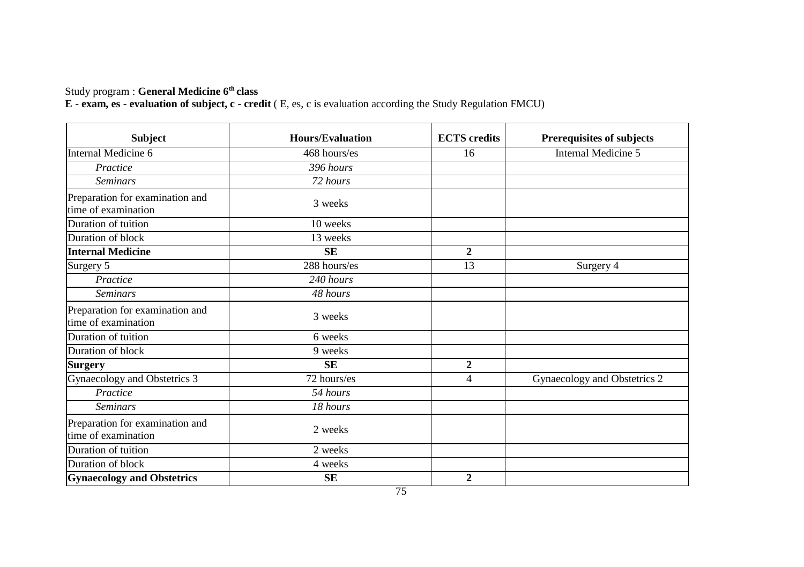### Study program : **General Medicine 6th class**

| <b>Subject</b>                                         | <b>Hours/Evaluation</b> | <b>ECTS</b> credits | Prerequisites of subjects    |
|--------------------------------------------------------|-------------------------|---------------------|------------------------------|
| Internal Medicine 6                                    | 468 hours/es            | 16                  | Internal Medicine 5          |
| Practice                                               | 396 hours               |                     |                              |
| <b>Seminars</b>                                        | 72 hours                |                     |                              |
| Preparation for examination and<br>time of examination | 3 weeks                 |                     |                              |
| Duration of tuition                                    | 10 weeks                |                     |                              |
| Duration of block                                      | 13 weeks                |                     |                              |
| <b>Internal Medicine</b>                               | <b>SE</b>               | $\overline{2}$      |                              |
| Surgery 5                                              | 288 hours/es            | 13                  | Surgery 4                    |
| Practice                                               | 240 hours               |                     |                              |
| <b>Seminars</b>                                        | 48 hours                |                     |                              |
| Preparation for examination and<br>time of examination | 3 weeks                 |                     |                              |
| Duration of tuition                                    | 6 weeks                 |                     |                              |
| Duration of block                                      | 9 weeks                 |                     |                              |
| <b>Surgery</b>                                         | <b>SE</b>               | $\overline{2}$      |                              |
| Gynaecology and Obstetrics 3                           | 72 hours/es             | $\overline{4}$      | Gynaecology and Obstetrics 2 |
| Practice                                               | 54 hours                |                     |                              |
| <b>Seminars</b>                                        | 18 hours                |                     |                              |
| Preparation for examination and<br>time of examination | 2 weeks                 |                     |                              |
| Duration of tuition                                    | 2 weeks                 |                     |                              |
| Duration of block                                      | 4 weeks                 |                     |                              |
| <b>Gynaecology and Obstetrics</b>                      | <b>SE</b>               | $\overline{2}$      |                              |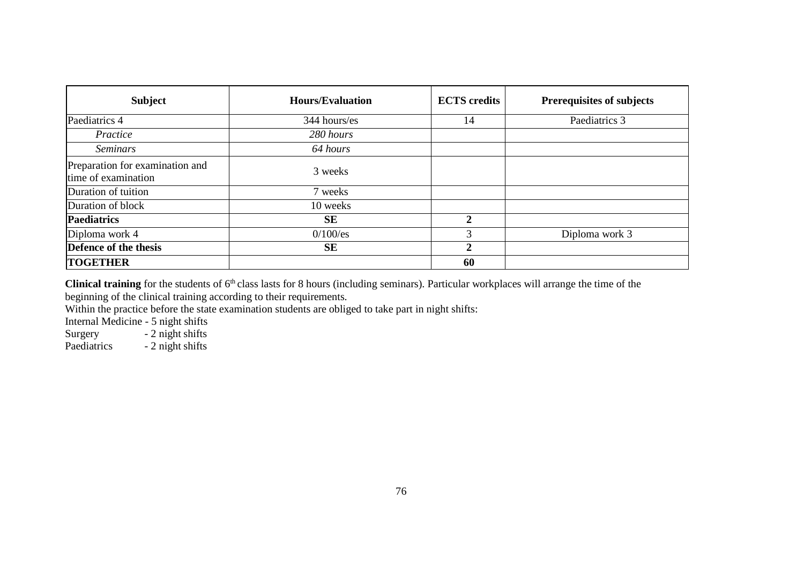| Subject                                                | Hours/Evaluation | <b>ECTS</b> credits | <b>Prerequisites of subjects</b> |
|--------------------------------------------------------|------------------|---------------------|----------------------------------|
| Paediatrics 4                                          | 344 hours/es     | 14                  | Paediatrics 3                    |
| Practice                                               | 280 hours        |                     |                                  |
| <b>Seminars</b>                                        | 64 hours         |                     |                                  |
| Preparation for examination and<br>time of examination | 3 weeks          |                     |                                  |
| Duration of tuition                                    | 7 weeks          |                     |                                  |
| Duration of block                                      | 10 weeks         |                     |                                  |
| <b>Paediatrics</b>                                     | SE               | 2                   |                                  |
| Diploma work 4                                         | $0/100$ /es      | 3                   | Diploma work 3                   |
| Defence of the thesis                                  | SЕ               | $\mathbf{2}$        |                                  |
| <b>TOGETHER</b>                                        |                  | 60                  |                                  |

Clinical training for the students of 6<sup>th</sup> class lasts for 8 hours (including seminars). Particular workplaces will arrange the time of the beginning of the clinical training according to their requirements.

Within the practice before the state examination students are obliged to take part in night shifts:

Internal Medicine - 5 night shifts Surgery - 2 night shifts<br>Paediatrics - 2 night shifts

- 2 night shifts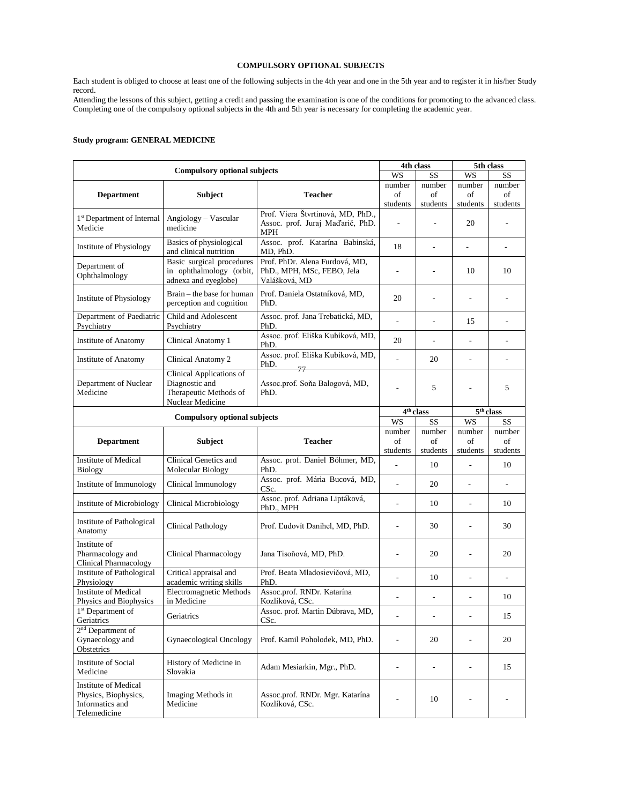# **COMPULSORY OPTIONAL SUBJECTS**

Each student is obliged to choose at least one of the following subjects in the 4th year and one in the 5th year and to register it in his/her Study record.

Attending the lessons of this subject, getting a credit and passing the examination is one of the conditions for promoting to the advanced class. Completing one of the compulsory optional subjects in the 4th and 5th year is necessary for completing the academic year.

# **Study program: GENERAL MEDICINE**

| <b>Compulsory optional subjects</b>                                             |                                                                                          |                                                                               |                              | 4th class                    |                          | 5th class                |  |
|---------------------------------------------------------------------------------|------------------------------------------------------------------------------------------|-------------------------------------------------------------------------------|------------------------------|------------------------------|--------------------------|--------------------------|--|
|                                                                                 |                                                                                          |                                                                               | WS                           | SS                           | WS                       | SS                       |  |
| <b>Department</b>                                                               | <b>Subject</b>                                                                           | <b>Teacher</b>                                                                | number<br>οf                 | number<br>of                 | number<br>of             | number<br>of             |  |
|                                                                                 |                                                                                          |                                                                               | students                     | students                     | students                 | students                 |  |
| 1 <sup>st</sup> Department of Internal<br>Medicie                               | $Angiology - Vascular$<br>medicine                                                       | Prof. Viera Štvrtinová, MD, PhD.,<br>Assoc. prof. Juraj Maďarič, PhD.<br>MPH  |                              |                              | 20                       | ÷,                       |  |
| Institute of Physiology                                                         | Basics of physiological<br>and clinical nutrition                                        | Assoc. prof. Katarína Babinská,<br>MD, PhD.                                   | 18                           | L,                           | $\overline{\phantom{a}}$ | $\overline{a}$           |  |
| Department of<br>Ophthalmology                                                  | Basic surgical procedures<br>in ophthalmology (orbit,<br>adnexa and eyeglobe)            | Prof. PhDr. Alena Furdová, MD,<br>PhD., MPH, MSc, FEBO, Jela<br>Valášková, MD | $\qquad \qquad \blacksquare$ | ÷,                           | 10                       | 10                       |  |
| Institute of Physiology                                                         | Brain – the base for human<br>perception and cognition                                   | Prof. Daniela Ostatníková, MD,<br>PhD.                                        | 20                           |                              | $\overline{\phantom{a}}$ | $\overline{\phantom{a}}$ |  |
| Department of Paediatric<br>Psychiatry                                          | Child and Adolescent<br>Psychiatry                                                       | Assoc. prof. Jana Trebatická, MD,<br>PhD.                                     | $\overline{a}$               | L,                           | 15                       |                          |  |
| Institute of Anatomy                                                            | Clinical Anatomy 1                                                                       | Assoc. prof. Eliška Kubíková, MD,<br>PhD.                                     | 20                           | ÷,                           | $\overline{a}$           | ÷,                       |  |
| <b>Institute of Anatomy</b>                                                     | Clinical Anatomy 2                                                                       | Assoc. prof. Eliška Kubíková, MD,<br>PhD.<br>77                               | $\overline{a}$               | 20                           | $\overline{\phantom{a}}$ | ÷                        |  |
| Department of Nuclear<br>Medicine                                               | Clinical Applications of<br>Diagnostic and<br>Therapeutic Methods of<br>Nuclear Medicine | Assoc.prof. Soňa Balogová, MD,<br>PhD.                                        | $\overline{a}$               | 5                            | ÷,                       | 5                        |  |
|                                                                                 |                                                                                          |                                                                               | 4 <sup>th</sup> class        |                              | 5 <sup>th</sup> class    |                          |  |
| <b>Compulsory optional subjects</b>                                             |                                                                                          |                                                                               | WS                           | SS                           | <b>WS</b>                | SS                       |  |
| <b>Department</b>                                                               | <b>Subject</b>                                                                           | <b>Teacher</b>                                                                | number<br>of                 | number<br>of                 | number<br>of             | number<br>of             |  |
|                                                                                 |                                                                                          |                                                                               | students                     | students                     | students                 | students                 |  |
| <b>Institute of Medical</b><br><b>Biology</b>                                   | Clinical Genetics and<br>Molecular Biology                                               | Assoc. prof. Daniel Böhmer, MD,<br>PhD.                                       | $\overline{a}$               | 10                           | ÷,                       | 10                       |  |
| Institute of Immunology                                                         | Clinical Immunology                                                                      | Assoc. prof. Mária Bucová, MD,<br>CSc.                                        | $\overline{a}$               | 20                           | $\overline{\phantom{a}}$ | $\overline{\phantom{a}}$ |  |
| <b>Institute of Microbiology</b>                                                | Clinical Microbiology                                                                    | Assoc. prof. Adriana Liptáková,<br>PhD., MPH                                  |                              | 10                           |                          | 10                       |  |
| Institute of Pathological<br>Anatomy                                            | Clinical Pathology                                                                       | Prof. Ľudovít Danihel, MD, PhD.                                               |                              | 30                           |                          | 30                       |  |
| Institute of<br>Pharmacology and<br>Clinical Pharmacology                       | <b>Clinical Pharmacology</b>                                                             | Jana Tisoňová, MD, PhD.                                                       | $\overline{a}$               | 20                           | $\overline{a}$           | 20                       |  |
| Institute of Pathological<br>Physiology                                         | Critical appraisal and<br>academic writing skills                                        | Prof. Beata Mladosievičová, MD,<br>PhD.                                       |                              | 10                           |                          | L,                       |  |
| <b>Institute of Medical</b><br>Physics and Biophysics                           | <b>Electromagnetic Methods</b><br>in Medicine                                            | Assoc.prof. RNDr. Katarína<br>Kozlíková, CSc.                                 | $\qquad \qquad \blacksquare$ | $\qquad \qquad \blacksquare$ | $\overline{a}$           | 10                       |  |
| 1 <sup>st</sup> Department of<br>Geriatrics                                     | Geriatrics                                                                               | Assoc. prof. Martin Dúbrava, MD,<br>CSc.                                      |                              |                              |                          | 15                       |  |
| 2 <sup>nd</sup> Department of<br>Gynaecology and<br>Obstetrics                  | Gynaecological Oncology                                                                  | Prof. Kamil Poholodek, MD, PhD.                                               | $\frac{1}{2}$                | 20                           | $\overline{a}$           | 20                       |  |
| Institute of Social<br>Medicine                                                 | History of Medicine in<br>Slovakia                                                       | Adam Mesiarkin, Mgr., PhD.                                                    | $\overline{a}$               | $\overline{a}$               | $\overline{a}$           | 15                       |  |
| Institute of Medical<br>Physics, Biophysics,<br>Informatics and<br>Telemedicine | Imaging Methods in<br>Medicine                                                           | Assoc.prof. RNDr. Mgr. Katarína<br>Kozlíková, CSc.                            | $\overline{a}$               | 10                           | $\overline{\phantom{a}}$ | $\overline{\phantom{a}}$ |  |